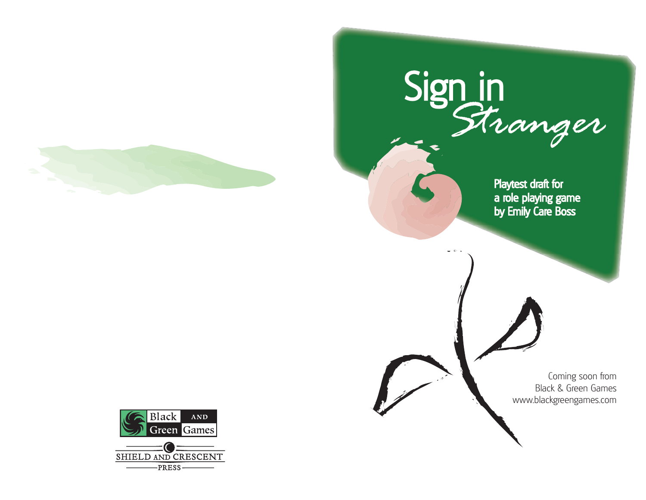



Playtest dra ft for a role playin g ga m e by E mily Care B o ss

> Coming soon from Black & Green Gameswww.blackgreengames.com

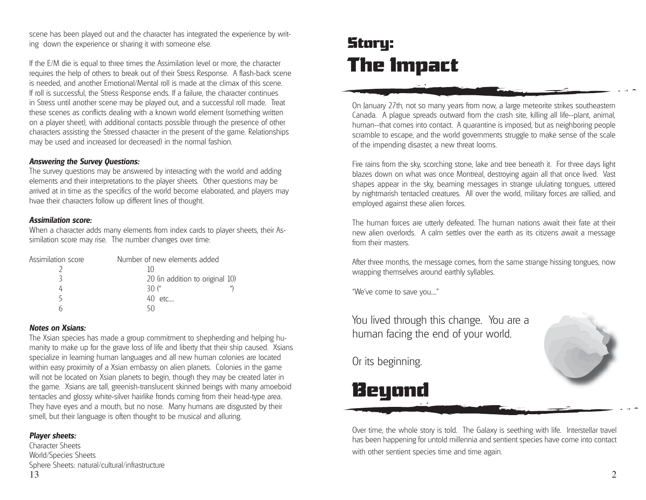scene has been played out and the character has integrated the experience by writing down the experience or sharing it with someone else.

If the E/M die is equal to three times the Assimilation level or more, the character requires the help of others to break out of their Stress Response. A flash-back scene is needed, and another Emotional/Mental roll is made at the climax of this scene. If roll is successful, the Stress Response ends. If a failure, the character continues in Stress until another scene may be played out, and a successful roll made. Treat these scenes as conflicts dealing with a known world element (something written on a player sheet), with additional contacts possible through the presence of other characters assisting the Stressed character in the present of the game. Relationships may be used and increased (or decreased) in the normal fashion.

### *Answering the Survey Questions:*

The survey questions may be answered by interacting with the world and adding elements and their interpretations to the player sheets. Other questions may be arrived at in time as the specifics of the world become elaborated, and players may hvae their characters follow up different lines of thought.

### *Assimilation score:*

When a character adds many elements from index cards to player sheets, their Assimilation score may rise. The number changes over time:

| Assimilation score | Number of new elements added    |
|--------------------|---------------------------------|
|                    |                                 |
|                    | 20 (in addition to original 10) |
|                    | 30 ("                           |
|                    | 40 etc                          |
|                    |                                 |

### *Notes on Xsians:*

The Xsian species has made a group commitment to shepherding and helping humanity to make up for the grave loss of life and liberty that their ship caused. Xsians specialize in learning human languages and all new human colonies are located within easy proximity of a Xsian embassy on alien planets. Colonies in the game will not be located on Xsian planets to begin, though they may be created later in the game. Xsians are tall, greenish-translucent skinned beings with many amoeboid tentacles and glossy white-silver hairlike fronds coming from their head-type area. They have eyes and a mouth, but no nose. Many humans are disgusted by their smell, but their language is often thought to be musical and alluring.

### *Player sheets:*

Character SheetsWorld/Species Sheets Sphere Sheets: natural/cultural/infrastructure 13

## Story: The Impact

On January 27th, not so many years from now, a large meteorite strikes southeastern Canada. A plague spreads outward from the crash site, killing all life--plant, animal, human--that comes into contact. A quarantine is imposed, but as neighboring people scramble to escape, and the world governments struggle to make sense of the scale of the impending disaster, a new threat looms.

Fire rains from the sky, scorching stone, lake and tree beneath it. For three days light blazes down on what was once Montreal, destroying again all that once lived. Vast shapes appear in the sky, beaming messages in strange ululating tongues, uttered by nightmarish tentacled creatures. All over the world, military forces are rallied, and employed against these alien forces.

The human forces are utterly defeated. The human nations await their fate at their new alien overlords. A calm settles over the earth as its citizens await a message from their masters.

After three months, the message comes, from the same strange hissing tongues, now wrapping themselves around earthly syllables.

"We've come to save you...."

You lived through this change. You are a human facing the end of your world.

Or its beginning.





Over time, the whole story is told. The Galaxy is seething with life. Interstellar travel has been happening for untold millennia and sentient species have come into contact with other sentient species time and time again.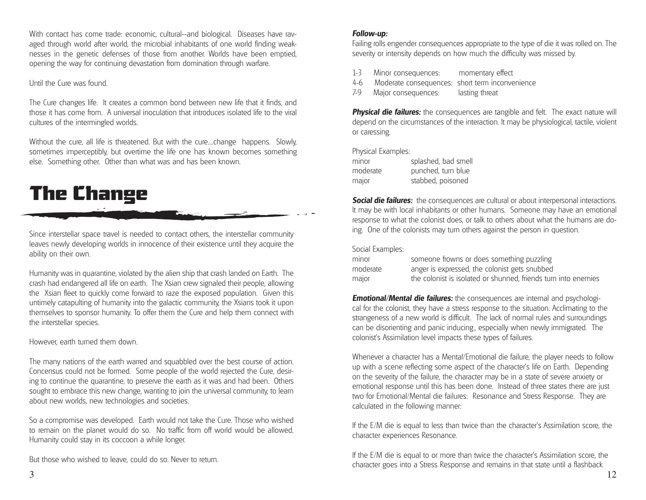With contact has come trade: economic, cultural--and biological. Diseases have ravaged through world after world, the microbial inhabitants of one world finding weaknesses in the genetic defenses of those from another. Worlds have been emptied, opening the way for continuing devastation from domination through warfare.

### Until the Cure was found.

The Cure changes life. It creates a common bond between new life that it finds, and those it has come from. A universal inoculation that introduces isolated life to the viral cultures of the intermingled worlds.

Without the cure, all life is threatened. But with the cure....change happens. Slowly, sometimes imperceptibly, but overtime the life one has known becomes something else. Something other. Other than what was and has been known.

# The Change

Since interstellar space travel is needed to contact others, the interstellar community leaves newly developing worlds in innocence of their existence until they acquire the ability on their own.

Humanity was in quarantine, violated by the alien ship that crash landed on Earth. The crash had endangered all life on earth. The Xsian crew signaled their people, allowing the Xsian fleet to quickly come forward to raze the exposed population. Given this untimely catapulting of humanity into the galactic community, the Xsians took it upon themselves to sponsor humanity. To offer them the Cure and help them connect with the interstellar species.

However, earth turned them down.

The many nations of the earth warred and squabbled over the best course of action. Concensus could not be formed. Some people of the world rejected the Cure, desiring to continue the quarantine, to preserve the earth as it was and had been. Others sought to embrace this new change, wanting to join the universal community, to learn about new worlds, new technologies and societies.

So a compromise was developed. Earth would not take the Cure. Those who wished to remain on the planet would do so. No traffic from off world would be allowed. Humanity could stay in its coccoon a while longer.

But those who wished to leave, could do so. Never to return.

### *Follow-up:*

Failing rolls engender consequences appropriate to the type of die it was rolled on. The severity or intensity depends on how much the difficulty was missed by.

- 1-3 Minor consequences: momentary effect
- 4-6 Moderate consequences: short term inconvenience
- 7-9 Major consequences: lasting threat

**Physical die failures:** the consequences are tangible and felt. The exact nature will depend on the circumstances of the interaction. It may be physiological, tactile, violent or caressing.

Physical Examples:

| minor    | splashed, bad smell |
|----------|---------------------|
| moderate | punched, turn blue  |
| major    | stabbed, poisoned   |

**Social die failures:** the consequences are cultural or about interpersonal interactions. It may be with local inhabitants or other humans. Someone may have an emotional response to what the colonist does, or talk to others about what the humans are doing. One of the colonists may turn others against the person in question.

### Social Examples:

| minor    | someone frowns or does something puzzling                      |
|----------|----------------------------------------------------------------|
| moderate | anger is expressed, the colonist gets snubbed                  |
| major    | the colonist is isolated or shunned, friends turn into enemies |

*Emotional/Mental die failures:* the consequences are internal and psychological for the colonist, they have a stress response to the situation. Acclimating to the strangeness of a new world is difficult. The lack of normal rules and surroundings can be disorienting and panic inducing., especially when newly immigrated. The colonist's Assimilation level impacts these types of failures.

Whenever a character has a Mental/Emotional die failure, the player needs to follow up with a scene reflecting some aspect of the character's life on Earth. Depending on the severity of the failure, the character may be in a state of severe anxiety or emotional response until this has been done. Instead of three states there are just two for Emotional/Mental die failures: Resonance and Stress Response. They are calculated in the following manner:

If the E/M die is equal to less than twice than the character's Assimilation score, the character experiences Resonance.

If the E/M die is equal to or more than twice the character's Assimilation score, the character goes into a Stress Response and remains in that state until a flashback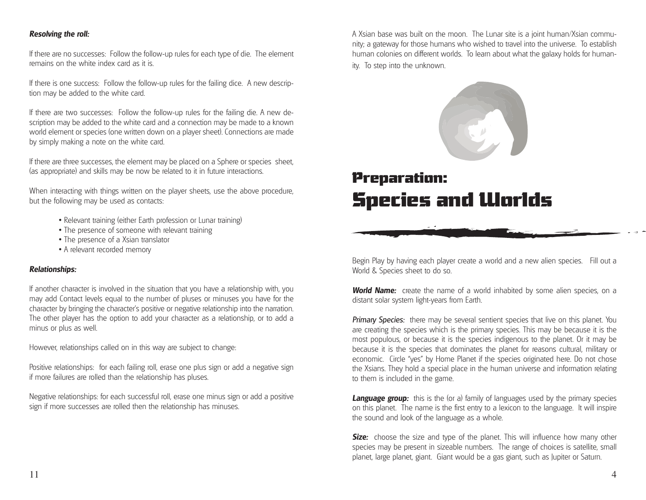### *Resolving the roll:*

If there are no successes: Follow the follow-up rules for each type of die. The element remains on the white index card as it is.

If there is one success: Follow the follow-up rules for the failing dice. A new description may be added to the white card.

If there are two successes: Follow the follow-up rules for the failing die. A new description may be added to the white card and a connection may be made to a known world element or species (one written down on a player sheet). Connections are made by simply making a note on the white card.

If there are three successes, the element may be placed on a Sphere or species sheet, (as appropriate) and skills may be now be related to it in future interactions.

When interacting with things written on the player sheets, use the above procedure, but the following may be used as contacts:

- Relevant training (either Earth profession or Lunar training)
- The presence of someone with relevant training
- The presence of a Xsian translator
- A relevant recorded memory

### *Relationships:*

If another character is involved in the situation that you have a relationship with, you may add Contact levels equal to the number of pluses or minuses you have for the character by bringing the character's positive or negative relationship into the narration. The other player has the option to add your character as a relationship, or to add a minus or plus as well.

However, relationships called on in this way are subject to change:

Positive relationships: for each failing roll, erase one plus sign or add a negative sign if more failures are rolled than the relationship has pluses.

Negative relationships: for each successful roll, erase one minus sign or add a positive sign if more successes are rolled then the relationship has minuses.

A Xsian base was built on the moon. The Lunar site is a joint human/Xsian community; a gateway for those humans who wished to travel into the universe. To establish human colonies on different worlds. To learn about what the galaxy holds for human-

ity. To step into the unknown.



### Preparation: Species and Worlds

Begin Play by having each player create a world and a new alien species. Fill out a World & Species sheet to do so.

*World Name:* create the name of a world inhabited by some alien species, on a distant solar system light-years from Earth.

**Primary Species:** there may be several sentient species that live on this planet. You are creating the species which is the primary species. This may be because it is the most populous, or because it is the species indigenous to the planet. Or it may be because it is the species that dominates the planet for reasons cultural, military or economic. Circle "yes" by Home Planet if the species originated here. Do not chose the Xsians. They hold a special place in the human universe and information relating to them is included in the game.

**Language group:** this is the (or a) family of languages used by the primary species on this planet. The name is the first entry to a lexicon to the language. It will inspire the sound and look of the language as a whole.

**Size:** choose the size and type of the planet. This will influence how many other species may be present in sizeable numbers. The range of choices is satellite, small planet, large planet, giant. Giant would be a gas giant, such as Jupiter or Saturn.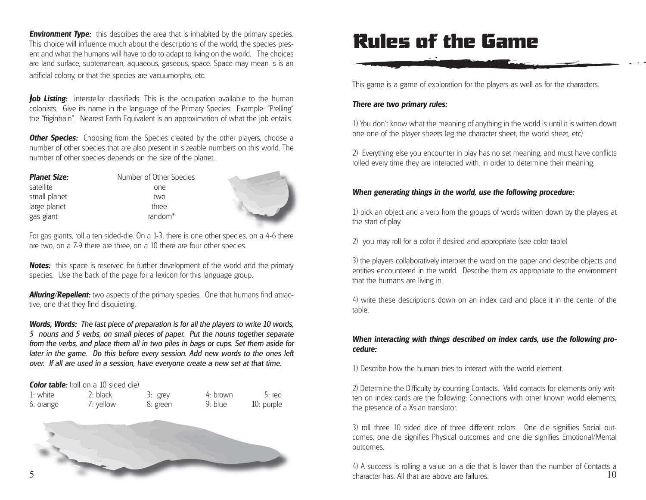*Environment Type:* this describes the area that is inhabited by the primary species. This choice will influence much about the descriptions of the world, the species present and what the humans will have to do to adapt to living on the world. The choices are land surface, subterranean, aquaeous, gaseous, space. Space may mean is is an artificial colony, or that the species are vacuumorphs, etc.

**Job Listing:** interstellar classifieds. This is the occupation available to the human colonists. Give its name in the language of the Primary Species. Example: "Prelling" the "friginhain". Nearest Earth Equivalent is an approximation of what the job entails.

**Other Species:** Choosing from the Species created by the other players, choose a number of other species that are also present in sizeable numbers on this world. The number of other species depends on the size of the planet.

| <b>Planet Size:</b> | Number of Other Species |
|---------------------|-------------------------|
| satellite           | one                     |
| small planet        | two                     |
| large planet        | three                   |
| gas giant           | random <sup>*</sup>     |



For gas giants, roll a ten sided-die. On a 1-3, there is one other species, on a 4-6 there are two, on a 7-9 there are three, on a 10 there are four other species.

**Notes:** this space is reserved for further development of the world and the primary species. Use the back of the page for a lexicon for this language group.

**Alluring/Repellent:** two aspects of the primary species. One that humans find attractive, one that they find disquieting.

*Words, Words: The last piece of preparation is for all the players to write 10 words, 5 nouns and 5 verbs, on small pieces of paper. Put the nouns together separate from the verbs, and place them all in two piles in bags or cups. Set them aside for later in the game. Do this before every session. Add new words to the ones left over. If all are used in a session, have everyone create a new set at that time.*

#### **Color table:** (roll on a 10 sided die)

| 1: white  | $2:$ black | 3: grey  | $4:$ brown | 5: red     |
|-----------|------------|----------|------------|------------|
| 6: orange | 7: yellow  | 8: green | 9: blue    | 10: purple |



### Rules of the Game

This game is a game of exploration for the players as well as for the characters.

### *There are two primary rules:*

1) You don't know what the meaning of anything in the world is until it is written down one one of the player sheets (eg the character sheet, the world sheet, etc)

2) Everything else you encounter in play has no set meaning, and must have conflicts rolled every time they are interacted with, in order to determine their meaning.

### *When generating things in the world, use the following procedure:*

1) pick an object and a verb from the groups of words written down by the players at the start of play.

2) you may roll for a color if desired and appropriate (see color table)

3) the players collaboratively interpret the word on the paper and describe objects and entities encountered in the world. Describe them as appropriate to the environment that the humans are living in.

4) write these descriptions down on an index card and place it in the center of the table.

### *When interacting with things described on index cards, use the following procedure:*

1) Describe how the human tries to interact with the world element.

2) Determine the Difficulty by counting Contacts. Valid contacts for elements only written on index cards are the following: Connections with other known world elements, the presence of a Xsian translator.

3) roll three 10 sided dice of three different colors. One die signifiies Social outcomes, one die signifies Physical outcomes and one die signifies Emotional/Mental outcomes.

104) A success is rolling a value on a die that is lower than the number of Contacts a character has. All that are above are failures.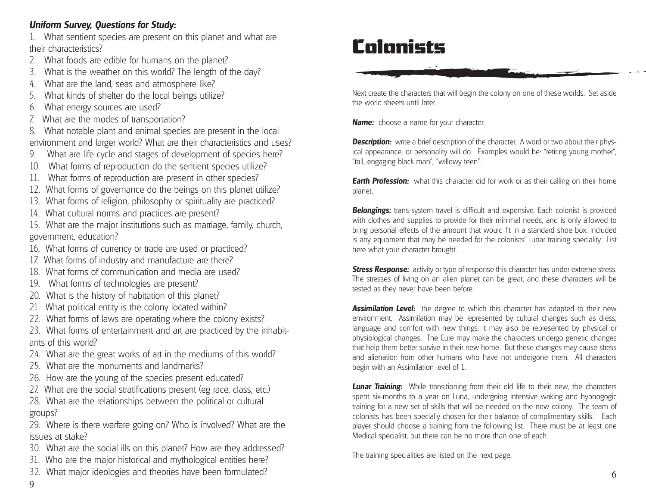### *Uniform Survey, Questions for Study:*

1. What sentient species are present on this planet and what are their characteristics?

- 2. What foods are edible for humans on the planet?
- 3. What is the weather on this world? The length of the day?
- 4. What are the land, seas and atmosphere like?
- 5. What kinds of shelter do the local beings utilize?
- 6. What energy sources are used?
- 7. What are the modes of transportation?
- 8. What notable plant and animal species are present in the local environment and larger world? What are their characteristics and uses?
- 9. What are life cycle and stages of development of species here?
- 10. What forms of reproduction do the sentient species utilize?
- 11. What forms of reproduction are present in other species?
- 12. What forms of governance do the beings on this planet utilize?
- 13. What forms of religion, philosophy or spirituality are practiced?
- 14. What cultural norms and practices are present?
- 15. What are the major institutions such as marriage, family, church, government, education?
- 16. What forms of currency or trade are used or practiced?
- 17. What forms of industry and manufacture are there?
- 18. What forms of communication and media are used?
- 19. What forms of technologies are present?
- 20. What is the history of habitation of this planet?
- 21. What political entity is the colony located within?
- 22. What forms of laws are operating where the colony exists?
- 23. What forms of entertainment and art are practiced by the inhabitants of this world?
- 24. What are the great works of art in the mediums of this world?
- 25. What are the monuments and landmarks?
- 26. How are the young of the species present educated?
- 27. What are the social stratifications present (eg race, class, etc.)
- 28. What are the relationships between the political or cultural groups?

29. Where is there warfare going on? Who is involved? What are the issues at stake?

- 30. What are the social ills on this planet? How are they addressed?
- 31. Who are the major historical and mythological entities here?
- 32. What major ideologies and theories have been formulated?

## Colonists

Next create the characters that will begin the colony on one of these worlds. Set aside the world sheets until later.

*Name:* choose a name for your character.

**Description:** write a brief description of the character. A word or two about their physical appearance, or personality will do. Examples would be: "retiring young mother", "tall, engaging black man", "willowy teen".

*Earth Profession:* what this character did for work or as their calling on their home planet.

**Belongings:** trans-system travel is difficult and expensive. Each colonist is provided with clothes and supplies to provide for their minimal needs, and is only allowed to bring personal effects of the amount that would fit in a standard shoe box. Included is any equpment that may be needed for the colonists' Lunar training speciality. List here what your character brought.

*Stress Response:* activity or type of response this character has under extreme stress. The stresses of living on an alien planet can be great, and these characters will be tested as they never have been before.

*Assimilation Level:* the degree to which this character has adapted to their new environment. Assimilation may be represented by cultural changes such as dress, language and comfort with new things. It may also be represented by physical or physiological changes. The Cure may make the characters undergo genetic changes that help them better survive in their new home. But these changes may cause stress and alienation from other humans who have not undergone them. All characters begin with an Assimilation level of 1.

**Lunar Training:** While transitioning from their old life to their new, the characters spent six-months to a year on Luna, undergoing intensive waking and hypnogogic training for a new set of skills that will be needed on the new colony. The team of colonists has been specially chosen for their balance of complimentary skills. Each player should choose a training from the following list. There must be at least one Medical specialist, but there can be no more than one of each.

The training specialities are listed on the next page.